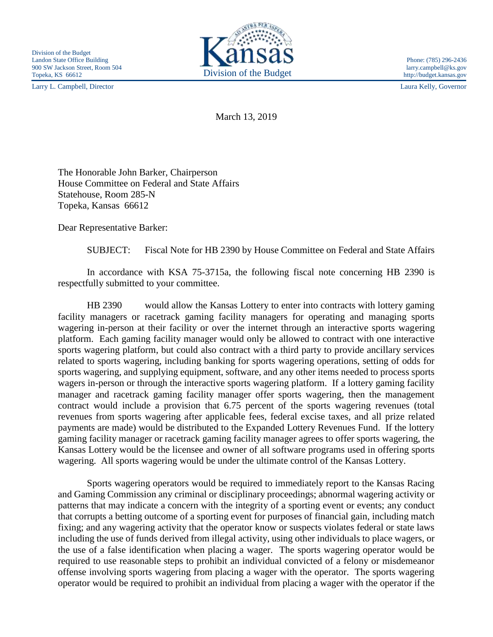Larry L. Campbell, Director Laura Kelly, Governor



http://budget.kansas.gov

March 13, 2019

The Honorable John Barker, Chairperson House Committee on Federal and State Affairs Statehouse, Room 285-N Topeka, Kansas 66612

Dear Representative Barker:

SUBJECT: Fiscal Note for HB 2390 by House Committee on Federal and State Affairs

In accordance with KSA 75-3715a, the following fiscal note concerning HB 2390 is respectfully submitted to your committee.

HB 2390 would allow the Kansas Lottery to enter into contracts with lottery gaming facility managers or racetrack gaming facility managers for operating and managing sports wagering in-person at their facility or over the internet through an interactive sports wagering platform. Each gaming facility manager would only be allowed to contract with one interactive sports wagering platform, but could also contract with a third party to provide ancillary services related to sports wagering, including banking for sports wagering operations, setting of odds for sports wagering, and supplying equipment, software, and any other items needed to process sports wagers in-person or through the interactive sports wagering platform. If a lottery gaming facility manager and racetrack gaming facility manager offer sports wagering, then the management contract would include a provision that 6.75 percent of the sports wagering revenues (total revenues from sports wagering after applicable fees, federal excise taxes, and all prize related payments are made) would be distributed to the Expanded Lottery Revenues Fund. If the lottery gaming facility manager or racetrack gaming facility manager agrees to offer sports wagering, the Kansas Lottery would be the licensee and owner of all software programs used in offering sports wagering. All sports wagering would be under the ultimate control of the Kansas Lottery.

Sports wagering operators would be required to immediately report to the Kansas Racing and Gaming Commission any criminal or disciplinary proceedings; abnormal wagering activity or patterns that may indicate a concern with the integrity of a sporting event or events; any conduct that corrupts a betting outcome of a sporting event for purposes of financial gain, including match fixing; and any wagering activity that the operator know or suspects violates federal or state laws including the use of funds derived from illegal activity, using other individuals to place wagers, or the use of a false identification when placing a wager. The sports wagering operator would be required to use reasonable steps to prohibit an individual convicted of a felony or misdemeanor offense involving sports wagering from placing a wager with the operator. The sports wagering operator would be required to prohibit an individual from placing a wager with the operator if the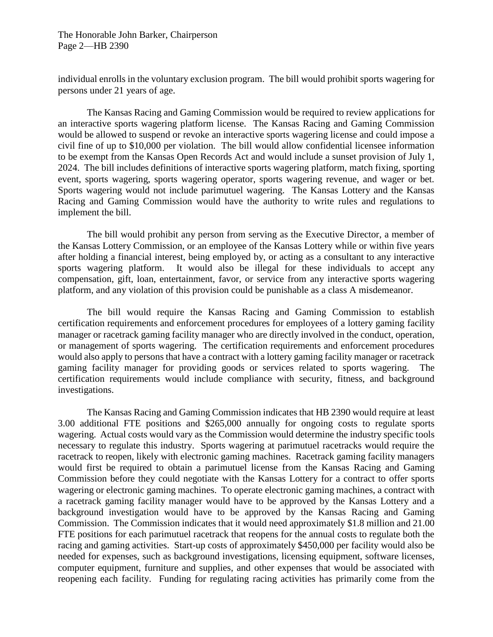The Honorable John Barker, Chairperson Page 2—HB 2390

individual enrolls in the voluntary exclusion program. The bill would prohibit sports wagering for persons under 21 years of age.

The Kansas Racing and Gaming Commission would be required to review applications for an interactive sports wagering platform license. The Kansas Racing and Gaming Commission would be allowed to suspend or revoke an interactive sports wagering license and could impose a civil fine of up to \$10,000 per violation. The bill would allow confidential licensee information to be exempt from the Kansas Open Records Act and would include a sunset provision of July 1, 2024. The bill includes definitions of interactive sports wagering platform, match fixing, sporting event, sports wagering, sports wagering operator, sports wagering revenue, and wager or bet. Sports wagering would not include parimutuel wagering. The Kansas Lottery and the Kansas Racing and Gaming Commission would have the authority to write rules and regulations to implement the bill.

The bill would prohibit any person from serving as the Executive Director, a member of the Kansas Lottery Commission, or an employee of the Kansas Lottery while or within five years after holding a financial interest, being employed by, or acting as a consultant to any interactive sports wagering platform. It would also be illegal for these individuals to accept any compensation, gift, loan, entertainment, favor, or service from any interactive sports wagering platform, and any violation of this provision could be punishable as a class A misdemeanor.

The bill would require the Kansas Racing and Gaming Commission to establish certification requirements and enforcement procedures for employees of a lottery gaming facility manager or racetrack gaming facility manager who are directly involved in the conduct, operation, or management of sports wagering. The certification requirements and enforcement procedures would also apply to persons that have a contract with a lottery gaming facility manager or racetrack gaming facility manager for providing goods or services related to sports wagering. The certification requirements would include compliance with security, fitness, and background investigations.

The Kansas Racing and Gaming Commission indicates that HB 2390 would require at least 3.00 additional FTE positions and \$265,000 annually for ongoing costs to regulate sports wagering. Actual costs would vary as the Commission would determine the industry specific tools necessary to regulate this industry. Sports wagering at parimutuel racetracks would require the racetrack to reopen, likely with electronic gaming machines. Racetrack gaming facility managers would first be required to obtain a parimutuel license from the Kansas Racing and Gaming Commission before they could negotiate with the Kansas Lottery for a contract to offer sports wagering or electronic gaming machines. To operate electronic gaming machines, a contract with a racetrack gaming facility manager would have to be approved by the Kansas Lottery and a background investigation would have to be approved by the Kansas Racing and Gaming Commission. The Commission indicates that it would need approximately \$1.8 million and 21.00 FTE positions for each parimutuel racetrack that reopens for the annual costs to regulate both the racing and gaming activities. Start-up costs of approximately \$450,000 per facility would also be needed for expenses, such as background investigations, licensing equipment, software licenses, computer equipment, furniture and supplies, and other expenses that would be associated with reopening each facility. Funding for regulating racing activities has primarily come from the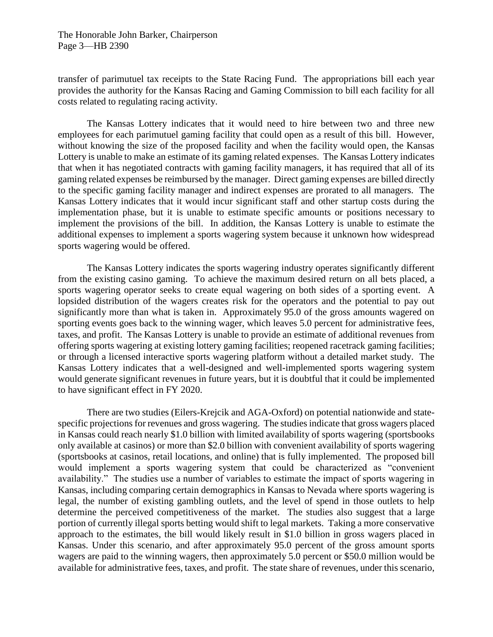The Honorable John Barker, Chairperson Page 3—HB 2390

transfer of parimutuel tax receipts to the State Racing Fund. The appropriations bill each year provides the authority for the Kansas Racing and Gaming Commission to bill each facility for all costs related to regulating racing activity.

The Kansas Lottery indicates that it would need to hire between two and three new employees for each parimutuel gaming facility that could open as a result of this bill. However, without knowing the size of the proposed facility and when the facility would open, the Kansas Lottery is unable to make an estimate of its gaming related expenses. The Kansas Lottery indicates that when it has negotiated contracts with gaming facility managers, it has required that all of its gaming related expenses be reimbursed by the manager. Direct gaming expenses are billed directly to the specific gaming facility manager and indirect expenses are prorated to all managers. The Kansas Lottery indicates that it would incur significant staff and other startup costs during the implementation phase, but it is unable to estimate specific amounts or positions necessary to implement the provisions of the bill. In addition, the Kansas Lottery is unable to estimate the additional expenses to implement a sports wagering system because it unknown how widespread sports wagering would be offered.

The Kansas Lottery indicates the sports wagering industry operates significantly different from the existing casino gaming. To achieve the maximum desired return on all bets placed, a sports wagering operator seeks to create equal wagering on both sides of a sporting event. A lopsided distribution of the wagers creates risk for the operators and the potential to pay out significantly more than what is taken in. Approximately 95.0 of the gross amounts wagered on sporting events goes back to the winning wager, which leaves 5.0 percent for administrative fees, taxes, and profit. The Kansas Lottery is unable to provide an estimate of additional revenues from offering sports wagering at existing lottery gaming facilities; reopened racetrack gaming facilities; or through a licensed interactive sports wagering platform without a detailed market study. The Kansas Lottery indicates that a well-designed and well-implemented sports wagering system would generate significant revenues in future years, but it is doubtful that it could be implemented to have significant effect in FY 2020.

There are two studies (Eilers-Krejcik and AGA-Oxford) on potential nationwide and statespecific projections for revenues and gross wagering. The studies indicate that gross wagers placed in Kansas could reach nearly \$1.0 billion with limited availability of sports wagering (sportsbooks only available at casinos) or more than \$2.0 billion with convenient availability of sports wagering (sportsbooks at casinos, retail locations, and online) that is fully implemented. The proposed bill would implement a sports wagering system that could be characterized as "convenient availability." The studies use a number of variables to estimate the impact of sports wagering in Kansas, including comparing certain demographics in Kansas to Nevada where sports wagering is legal, the number of existing gambling outlets, and the level of spend in those outlets to help determine the perceived competitiveness of the market. The studies also suggest that a large portion of currently illegal sports betting would shift to legal markets. Taking a more conservative approach to the estimates, the bill would likely result in \$1.0 billion in gross wagers placed in Kansas. Under this scenario, and after approximately 95.0 percent of the gross amount sports wagers are paid to the winning wagers, then approximately 5.0 percent or \$50.0 million would be available for administrative fees, taxes, and profit. The state share of revenues, under this scenario,